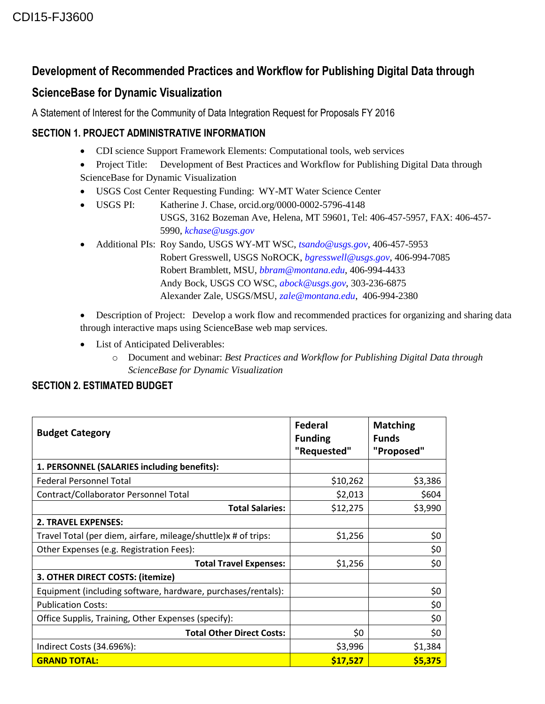## **Development of Recommended Practices and Workflow for Publishing Digital Data through**

# **ScienceBase for Dynamic Visualization**

A Statement of Interest for the Community of Data Integration Request for Proposals FY 2016

### **SECTION 1. PROJECT ADMINISTRATIVE INFORMATION**

- CDI science Support Framework Elements: Computational tools, web services
- Project Title: Development of Best Practices and Workflow for Publishing Digital Data through ScienceBase for Dynamic Visualization
- USGS Cost Center Requesting Funding: WY-MT Water Science Center
- USGS PI: Katherine J. Chase, orcid.org/0000-0002-5796-4148 USGS, 3162 Bozeman Ave, Helena, MT 59601, Tel: 406-457-5957, FAX: 406-457- 5990, *[kchase@usgs.gov](mailto:kchase@usgs.gov)*
- Additional PIs: Roy Sando, USGS WY-MT WSC, *[tsando@usgs.gov](mailto:tsando@usgs.gov)*, 406-457-5953 Robert Gresswell, USGS NoROCK, *[bgresswell@usgs.gov](mailto:bgresswell@usgs.gov)*, 406-994-7085 Robert Bramblett, MSU, *[bbram@montana.edu](mailto:bbram@montana.edu)*, 406-994-4433 Andy Bock, USGS CO WSC, *[abock@usgs.gov](mailto:abock@usgs.gov)*, 303-236-6875 Alexander Zale, USGS/MSU, *[zale@montana.edu](mailto:zale@montana.edu)*, 406-994-2380

 Description of Project: Develop a work flow and recommended practices for organizing and sharing data through interactive maps using ScienceBase web map services.

- List of Anticipated Deliverables:
	- o Document and webinar: *Best Practices and Workflow for Publishing Digital Data through ScienceBase for Dynamic Visualization*

### **SECTION 2. ESTIMATED BUDGET**

| <b>Budget Category</b>                                         | Federal<br><b>Funding</b><br>"Requested" | <b>Matching</b><br><b>Funds</b><br>"Proposed" |
|----------------------------------------------------------------|------------------------------------------|-----------------------------------------------|
| 1. PERSONNEL (SALARIES including benefits):                    |                                          |                                               |
| <b>Federal Personnel Total</b>                                 | \$10,262                                 | \$3,386                                       |
| Contract/Collaborator Personnel Total                          | \$2,013                                  | \$604                                         |
| <b>Total Salaries:</b>                                         | \$12,275                                 | \$3,990                                       |
| <b>2. TRAVEL EXPENSES:</b>                                     |                                          |                                               |
| Travel Total (per diem, airfare, mileage/shuttle)x # of trips: | \$1,256                                  | \$0                                           |
| Other Expenses (e.g. Registration Fees):                       |                                          | \$0                                           |
| <b>Total Travel Expenses:</b>                                  | \$1,256                                  | \$0                                           |
| 3. OTHER DIRECT COSTS: (itemize)                               |                                          |                                               |
| Equipment (including software, hardware, purchases/rentals):   |                                          | \$0                                           |
| <b>Publication Costs:</b>                                      |                                          | \$0                                           |
| Office Supplis, Training, Other Expenses (specify):            |                                          | \$0                                           |
| <b>Total Other Direct Costs:</b>                               | \$0                                      | \$0                                           |
| Indirect Costs (34.696%):                                      | \$3,996                                  | \$1,384                                       |
| <b>GRAND TOTAL:</b>                                            | \$17,527                                 | \$5,375                                       |